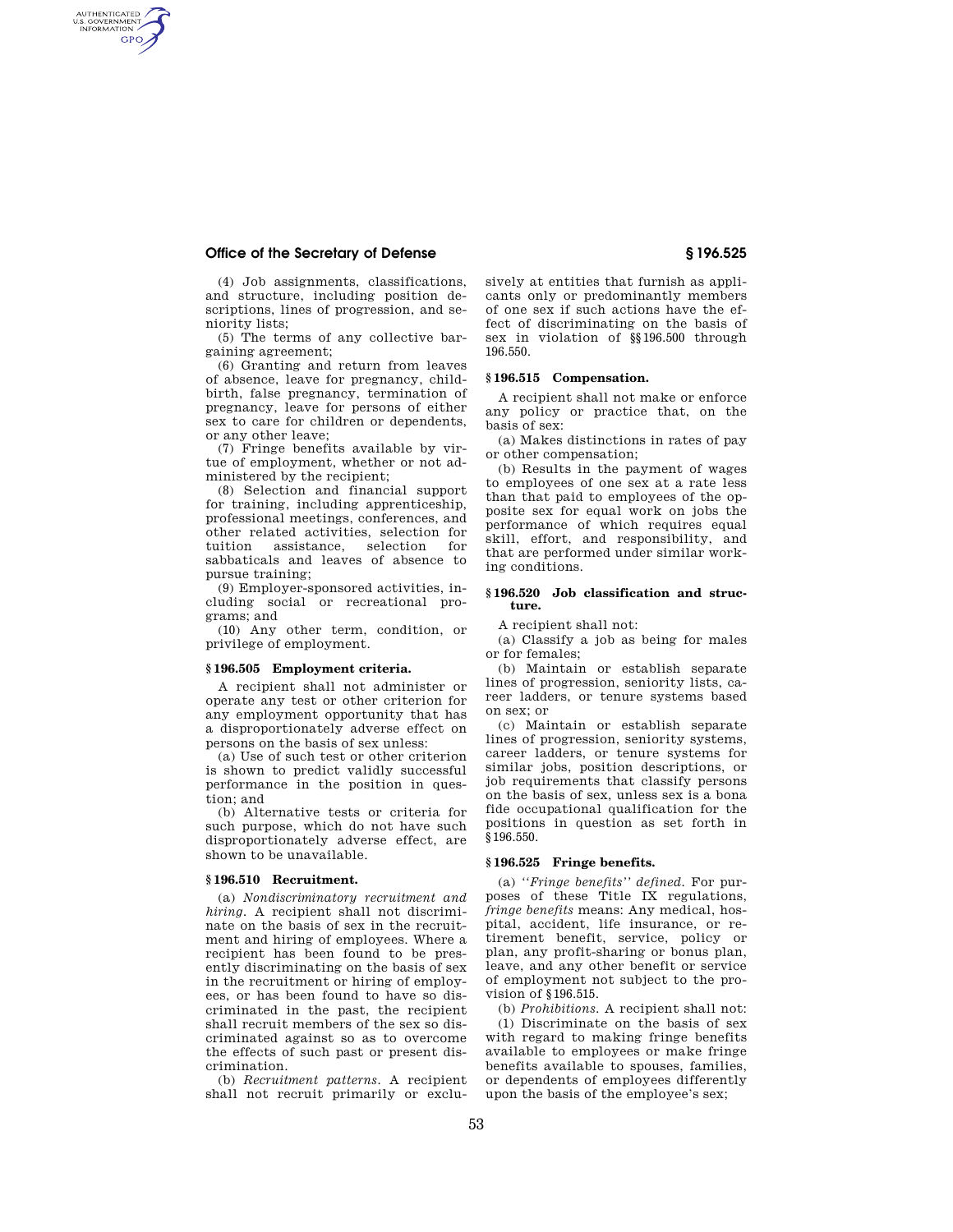# **Office of the Secretary of Defense § 196.525**

AUTHENTICATED<br>U.S. GOVERNMENT<br>INFORMATION GPO

> (4) Job assignments, classifications, and structure, including position descriptions, lines of progression, and seniority lists;

> (5) The terms of any collective bargaining agreement;

> (6) Granting and return from leaves of absence, leave for pregnancy, childbirth, false pregnancy, termination of pregnancy, leave for persons of either sex to care for children or dependents, or any other leave;

> (7) Fringe benefits available by virtue of employment, whether or not administered by the recipient;

(8) Selection and financial support for training, including apprenticeship, professional meetings, conferences, and other related activities, selection for tuition assistance, selection for sabbaticals and leaves of absence to pursue training;

(9) Employer-sponsored activities, including social or recreational programs; and

(10) Any other term, condition, or privilege of employment.

## **§ 196.505 Employment criteria.**

A recipient shall not administer or operate any test or other criterion for any employment opportunity that has a disproportionately adverse effect on persons on the basis of sex unless:

(a) Use of such test or other criterion is shown to predict validly successful performance in the position in question; and

(b) Alternative tests or criteria for such purpose, which do not have such disproportionately adverse effect, are shown to be unavailable.

## **§ 196.510 Recruitment.**

(a) *Nondiscriminatory recruitment and hiring.* A recipient shall not discriminate on the basis of sex in the recruitment and hiring of employees. Where a recipient has been found to be presently discriminating on the basis of sex in the recruitment or hiring of employees, or has been found to have so discriminated in the past, the recipient shall recruit members of the sex so discriminated against so as to overcome the effects of such past or present discrimination.

(b) *Recruitment patterns.* A recipient shall not recruit primarily or exclusively at entities that furnish as applicants only or predominantly members of one sex if such actions have the effect of discriminating on the basis of sex in violation of §§196.500 through 196.550.

## **§ 196.515 Compensation.**

A recipient shall not make or enforce any policy or practice that, on the basis of sex:

(a) Makes distinctions in rates of pay or other compensation;

(b) Results in the payment of wages to employees of one sex at a rate less than that paid to employees of the opposite sex for equal work on jobs the performance of which requires equal skill, effort, and responsibility, and that are performed under similar working conditions.

#### **§ 196.520 Job classification and structure.**

A recipient shall not:

(a) Classify a job as being for males or for females;

(b) Maintain or establish separate lines of progression, seniority lists, career ladders, or tenure systems based on sex; or

(c) Maintain or establish separate lines of progression, seniority systems, career ladders, or tenure systems for similar jobs, position descriptions, or job requirements that classify persons on the basis of sex, unless sex is a bona fide occupational qualification for the positions in question as set forth in §196.550.

#### **§ 196.525 Fringe benefits.**

(a) *''Fringe benefits'' defined.* For purposes of these Title IX regulations, *fringe benefits* means: Any medical, hospital, accident, life insurance, or retirement benefit, service, policy or plan, any profit-sharing or bonus plan, leave, and any other benefit or service of employment not subject to the provision of §196.515.

(b) *Prohibitions.* A recipient shall not: (1) Discriminate on the basis of sex with regard to making fringe benefits available to employees or make fringe benefits available to spouses, families, or dependents of employees differently upon the basis of the employee's sex;